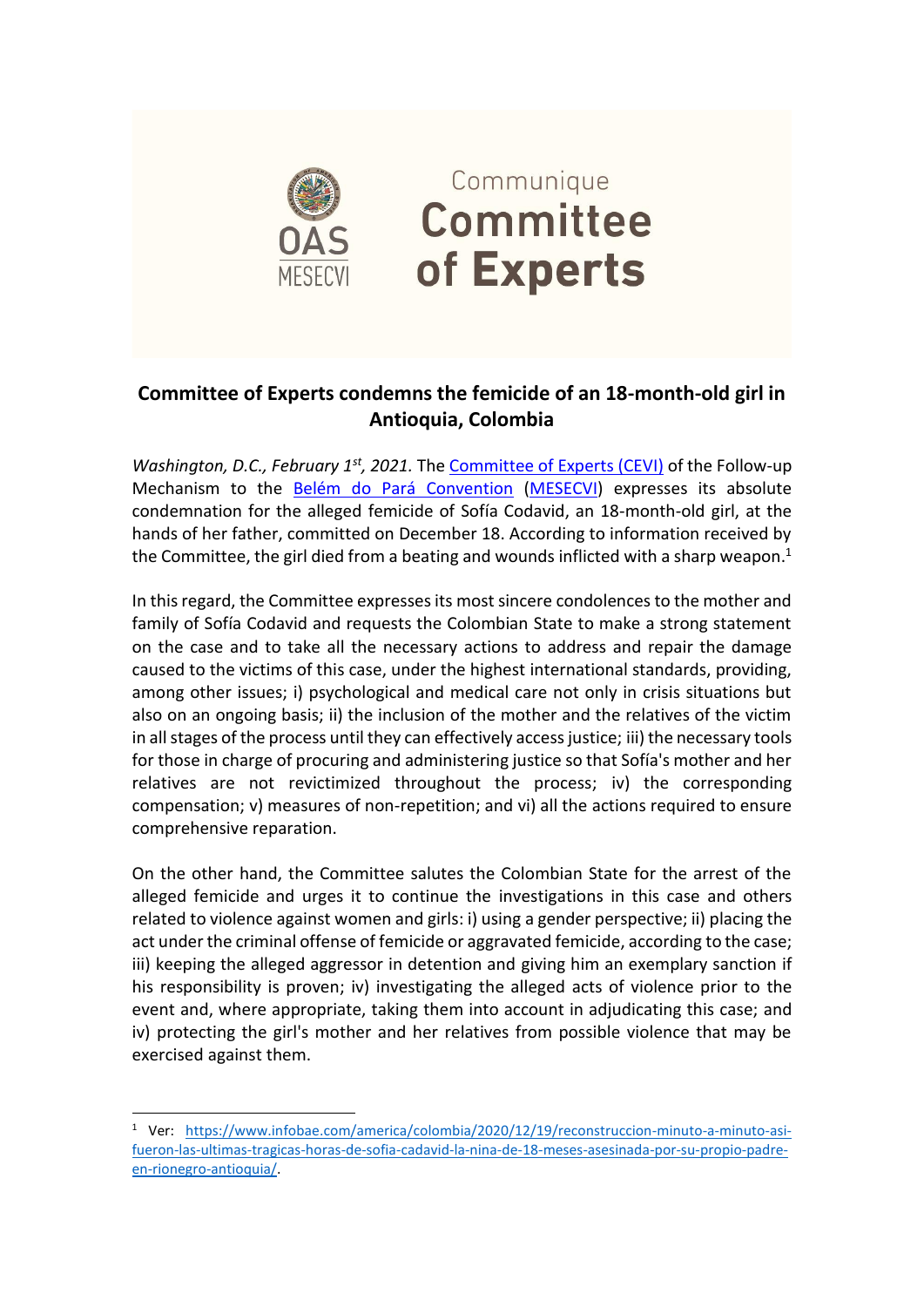

## Communique **Committee** of Experts

## **Committee of Experts condemns the femicide of an 18-month-old girl in Antioquia, Colombia**

*Washington, D.C., February 1st, 2021.* The [Committee of Experts \(CEVI\)](http://www.oas.org/en/mesecvi/Experts.asp) of the Follow-up Mechanism to the [Belém do Pará Convention](http://www.oas.org/en/mesecvi/convention.asp) [\(MESECVI\)](http://www.oas.org/en/mesecvi/about.asp) expresses its absolute condemnation for the alleged femicide of Sofía Codavid, an 18-month-old girl, at the hands of her father, committed on December 18. According to information received by the Committee, the girl died from a beating and wounds inflicted with a sharp weapon. $1$ 

In this regard, the Committee expresses its most sincere condolences to the mother and family of Sofía Codavid and requests the Colombian State to make a strong statement on the case and to take all the necessary actions to address and repair the damage caused to the victims of this case, under the highest international standards, providing, among other issues; i) psychological and medical care not only in crisis situations but also on an ongoing basis; ii) the inclusion of the mother and the relatives of the victim in all stages of the process until they can effectively access justice; iii) the necessary tools for those in charge of procuring and administering justice so that Sofía's mother and her relatives are not revictimized throughout the process; iv) the corresponding compensation; v) measures of non-repetition; and vi) all the actions required to ensure comprehensive reparation.

On the other hand, the Committee salutes the Colombian State for the arrest of the alleged femicide and urges it to continue the investigations in this case and others related to violence against women and girls: i) using a gender perspective; ii) placing the act under the criminal offense of femicide or aggravated femicide, according to the case; iii) keeping the alleged aggressor in detention and giving him an exemplary sanction if his responsibility is proven; iv) investigating the alleged acts of violence prior to the event and, where appropriate, taking them into account in adjudicating this case; and iv) protecting the girl's mother and her relatives from possible violence that may be exercised against them.

<sup>1</sup> Ver: [https://www.infobae.com/america/colombia/2020/12/19/reconstruccion-minuto-a-minuto-asi](https://www.infobae.com/america/colombia/2020/12/19/reconstruccion-minuto-a-minuto-asi-fueron-las-ultimas-tragicas-horas-de-sofia-cadavid-la-nina-de-18-meses-asesinada-por-su-propio-padre-en-rionegro-antioquia/)[fueron-las-ultimas-tragicas-horas-de-sofia-cadavid-la-nina-de-18-meses-asesinada-por-su-propio-padre](https://www.infobae.com/america/colombia/2020/12/19/reconstruccion-minuto-a-minuto-asi-fueron-las-ultimas-tragicas-horas-de-sofia-cadavid-la-nina-de-18-meses-asesinada-por-su-propio-padre-en-rionegro-antioquia/)[en-rionegro-antioquia/.](https://www.infobae.com/america/colombia/2020/12/19/reconstruccion-minuto-a-minuto-asi-fueron-las-ultimas-tragicas-horas-de-sofia-cadavid-la-nina-de-18-meses-asesinada-por-su-propio-padre-en-rionegro-antioquia/)